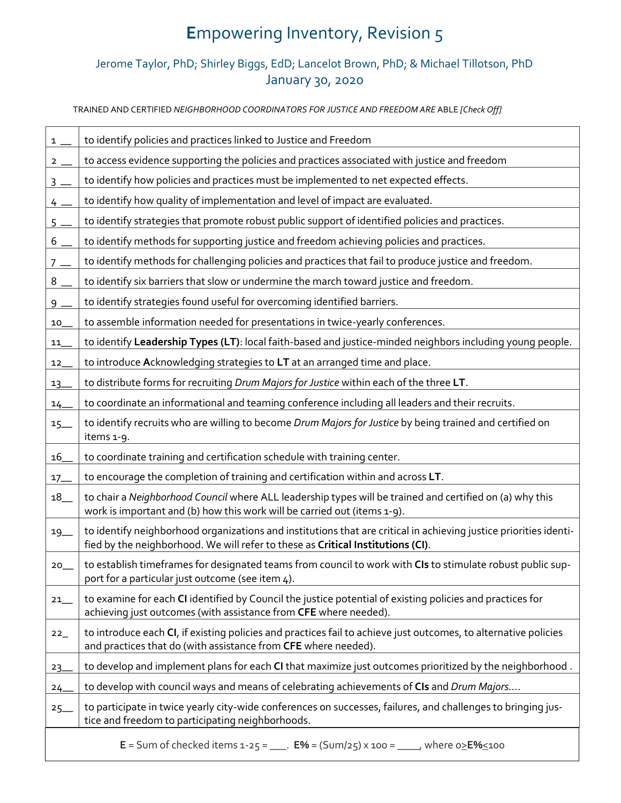## **E**mpowering Inventory, Revision 5

## Jerome Taylor, PhD; Shirley Biggs, EdD; Lancelot Brown, PhD; & Michael Tillotson, PhD January 30, 2020

TRAINED AND CERTIFIED *NEIGHBORHOOD COORDINATORS FOR JUSTICE AND FREEDOM ARE* ABLE *[Check Off]*

| $1 \_$                                                                                                             | to identify policies and practices linked to Justice and Freedom                                                                                                                                     |  |
|--------------------------------------------------------------------------------------------------------------------|------------------------------------------------------------------------------------------------------------------------------------------------------------------------------------------------------|--|
| $2 \overline{2}$                                                                                                   | to access evidence supporting the policies and practices associated with justice and freedom                                                                                                         |  |
| $3 -$                                                                                                              | to identify how policies and practices must be implemented to net expected effects.                                                                                                                  |  |
| $4 -$                                                                                                              | to identify how quality of implementation and level of impact are evaluated.                                                                                                                         |  |
| $5 -$                                                                                                              | to identify strategies that promote robust public support of identified policies and practices.                                                                                                      |  |
| 6                                                                                                                  | to identify methods for supporting justice and freedom achieving policies and practices.                                                                                                             |  |
| $7 -$                                                                                                              | to identify methods for challenging policies and practices that fail to produce justice and freedom.                                                                                                 |  |
| $8-$                                                                                                               | to identify six barriers that slow or undermine the march toward justice and freedom.                                                                                                                |  |
| $9 -$                                                                                                              | to identify strategies found useful for overcoming identified barriers.                                                                                                                              |  |
| 10                                                                                                                 | to assemble information needed for presentations in twice-yearly conferences.                                                                                                                        |  |
| 11                                                                                                                 | to identify Leadership Types (LT): local faith-based and justice-minded neighbors including young people.                                                                                            |  |
| 12                                                                                                                 | to introduce Acknowledging strategies to LT at an arranged time and place.                                                                                                                           |  |
| $13 -$                                                                                                             | to distribute forms for recruiting Drum Majors for Justice within each of the three LT.                                                                                                              |  |
| $14 -$                                                                                                             | to coordinate an informational and teaming conference including all leaders and their recruits.                                                                                                      |  |
| $15-$                                                                                                              | to identify recruits who are willing to become Drum Majors for Justice by being trained and certified on<br>items 1-9.                                                                               |  |
| 16                                                                                                                 | to coordinate training and certification schedule with training center.                                                                                                                              |  |
| $17 -$                                                                                                             | to encourage the completion of training and certification within and across LT.                                                                                                                      |  |
| 18                                                                                                                 | to chair a Neighborhood Council where ALL leadership types will be trained and certified on (a) why this<br>work is important and (b) how this work will be carried out (items 1-9).                 |  |
| $19-$                                                                                                              | to identify neighborhood organizations and institutions that are critical in achieving justice priorities identi-<br>fied by the neighborhood. We will refer to these as Critical Institutions (CI). |  |
| $20$ <sub>—</sub>                                                                                                  | to establish timeframes for designated teams from council to work with CIs to stimulate robust public sup-<br>port for a particular just outcome (see item 4).                                       |  |
| $21$ <sub>—</sub>                                                                                                  | to examine for each CI identified by Council the justice potential of existing policies and practices for<br>achieving just outcomes (with assistance from CFE where needed).                        |  |
| 22                                                                                                                 | to introduce each CI, if existing policies and practices fail to achieve just outcomes, to alternative policies<br>and practices that do (with assistance from CFE where needed).                    |  |
| $23 -$                                                                                                             | to develop and implement plans for each CI that maximize just outcomes prioritized by the neighborhood.                                                                                              |  |
| $24 -$                                                                                                             | to develop with council ways and means of celebrating achievements of CIs and Drum Majors                                                                                                            |  |
| $25 -$                                                                                                             | to participate in twice yearly city-wide conferences on successes, failures, and challenges to bringing jus-<br>tice and freedom to participating neighborhoods.                                     |  |
| <b>E</b> = Sum of checked items 1-25 = ____. <b>E%</b> = (Sum/25) x 100 = _____, where $0 \ge$ <b>E%</b> $\le$ 100 |                                                                                                                                                                                                      |  |